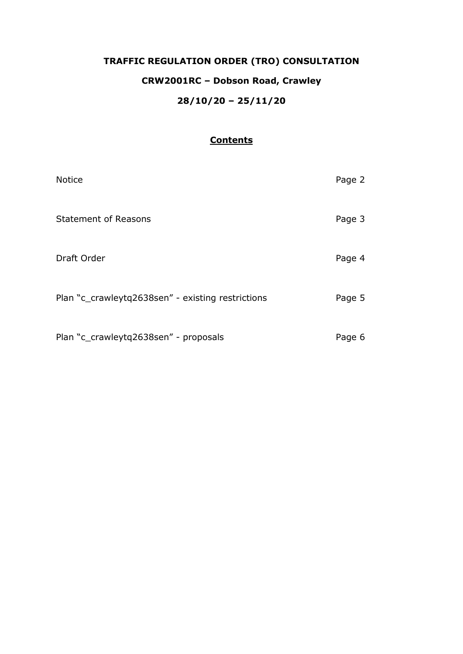# **TRAFFIC REGULATION ORDER (TRO) CONSULTATION CRW2001RC – Dobson Road, Crawley 28/10/20 – 25/11/20**

# **Contents**

| <b>Notice</b>                                     | Page 2 |
|---------------------------------------------------|--------|
| <b>Statement of Reasons</b>                       | Page 3 |
| Draft Order                                       | Page 4 |
| Plan "c_crawleytq2638sen" - existing restrictions | Page 5 |
| Plan "c_crawleytq2638sen" - proposals             | Page 6 |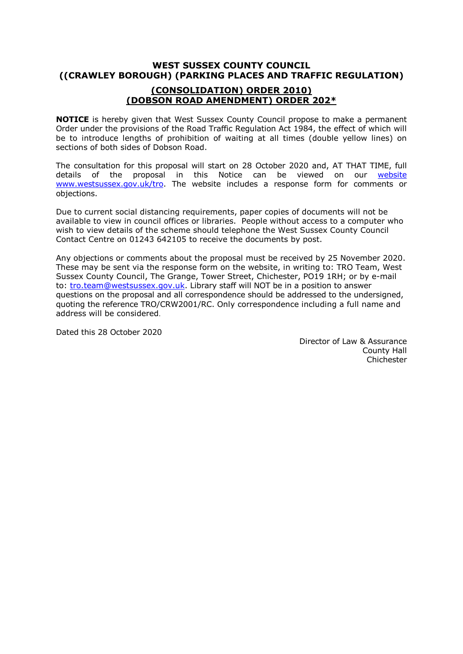# **WEST SUSSEX COUNTY COUNCIL ((CRAWLEY BOROUGH) (PARKING PLACES AND TRAFFIC REGULATION)**

# **(CONSOLIDATION) ORDER 2010) (DOBSON ROAD AMENDMENT) ORDER 202\***

**NOTICE** is hereby given that West Sussex County Council propose to make a permanent Order under the provisions of the Road Traffic Regulation Act 1984, the effect of which will be to introduce lengths of prohibition of waiting at all times (double yellow lines) on sections of both sides of Dobson Road.

The consultation for this proposal will start on 28 October 2020 and, AT THAT TIME, full details of the proposal in this Notice can be viewed on our [website](https://www.westsussex.gov.uk/roads-and-travel/traffic-regulation-orders/) [www.westsussex.gov.uk/tro.](http://www.westsussex.gov.uk/tro) The website includes a response form for comments or objections.

Due to current social distancing requirements, paper copies of documents will not be available to view in council offices or libraries. People without access to a computer who wish to view details of the scheme should telephone the West Sussex County Council Contact Centre on 01243 642105 to receive the documents by post.

Any objections or comments about the proposal must be received by 25 November 2020. These may be sent via the response form on the website, in writing to: TRO Team, West Sussex County Council, The Grange, Tower Street, Chichester, PO19 1RH; or by e-mail to: [tro.team@westsussex.gov.uk.](mailto:tro.team@westsussex.gov.uk) Library staff will NOT be in a position to answer questions on the proposal and all correspondence should be addressed to the undersigned, quoting the reference TRO/CRW2001/RC. Only correspondence including a full name and address will be considered.

Dated this 28 October 2020

 Director of Law & Assurance County Hall **Chichester**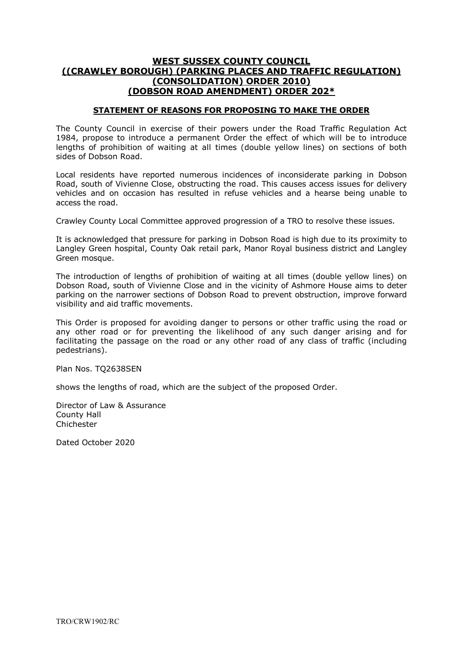## **WEST SUSSEX COUNTY COUNCIL ((CRAWLEY BOROUGH) (PARKING PLACES AND TRAFFIC REGULATION) (CONSOLIDATION) ORDER 2010) (DOBSON ROAD AMENDMENT) ORDER 202\***

#### **STATEMENT OF REASONS FOR PROPOSING TO MAKE THE ORDER**

The County Council in exercise of their powers under the Road Traffic Regulation Act 1984, propose to introduce a permanent Order the effect of which will be to introduce lengths of prohibition of waiting at all times (double yellow lines) on sections of both sides of Dobson Road.

Local residents have reported numerous incidences of inconsiderate parking in Dobson Road, south of Vivienne Close, obstructing the road. This causes access issues for delivery vehicles and on occasion has resulted in refuse vehicles and a hearse being unable to access the road.

Crawley County Local Committee approved progression of a TRO to resolve these issues.

It is acknowledged that pressure for parking in Dobson Road is high due to its proximity to Langley Green hospital, County Oak retail park, Manor Royal business district and Langley Green mosque.

The introduction of lengths of prohibition of waiting at all times (double yellow lines) on Dobson Road, south of Vivienne Close and in the vicinity of Ashmore House aims to deter parking on the narrower sections of Dobson Road to prevent obstruction, improve forward visibility and aid traffic movements.

This Order is proposed for avoiding danger to persons or other traffic using the road or any other road or for preventing the likelihood of any such danger arising and for facilitating the passage on the road or any other road of any class of traffic (including pedestrians).

Plan Nos. TQ2638SEN

shows the lengths of road, which are the subject of the proposed Order.

Director of Law & Assurance County Hall Chichester

Dated October 2020